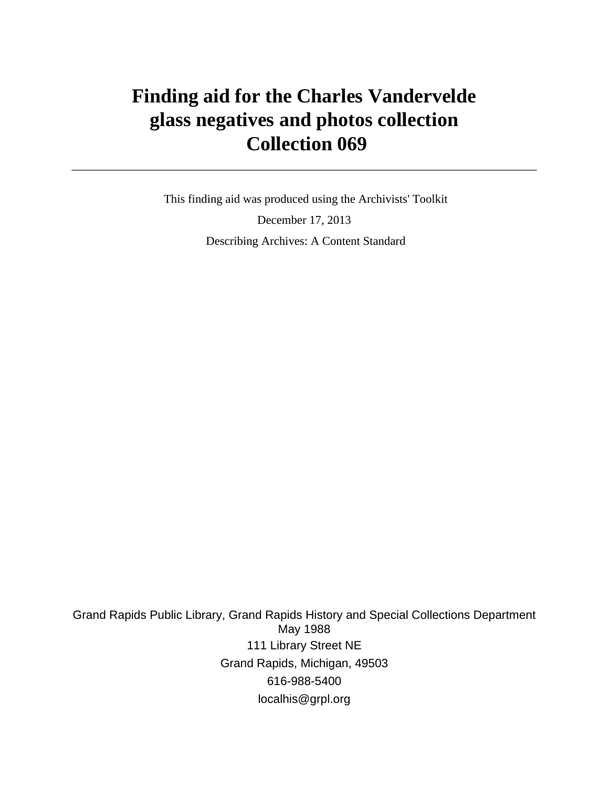# **Finding aid for the Charles Vandervelde glass negatives and photos collection Collection 069**

 This finding aid was produced using the Archivists' Toolkit December 17, 2013 Describing Archives: A Content Standard

Grand Rapids Public Library, Grand Rapids History and Special Collections Department May 1988 111 Library Street NE Grand Rapids, Michigan, 49503 616-988-5400 localhis@grpl.org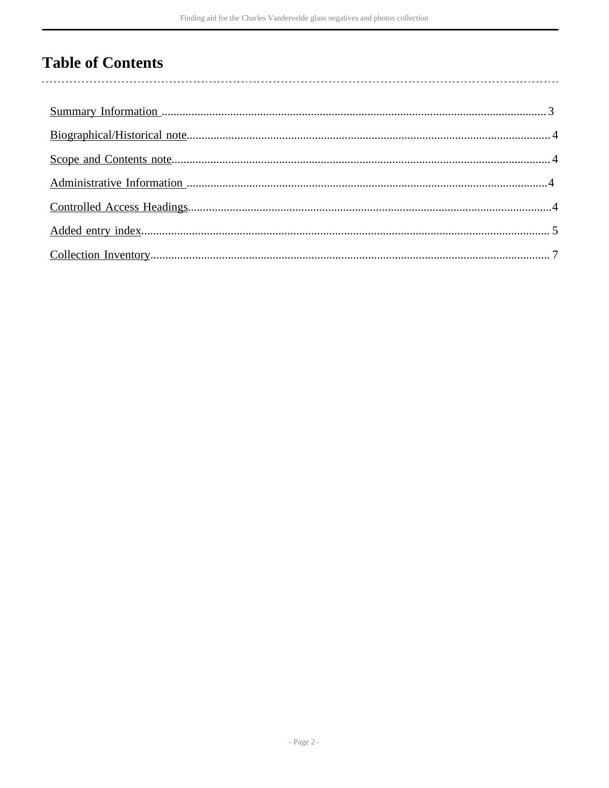## **Table of Contents**

 $\overline{\phantom{a}}$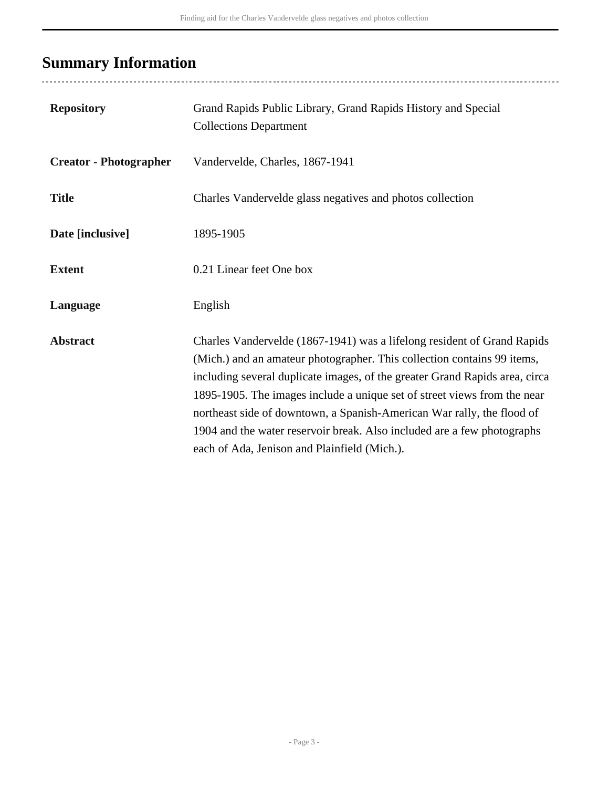# <span id="page-2-0"></span>**Summary Information**

| <b>Repository</b>             | Grand Rapids Public Library, Grand Rapids History and Special<br><b>Collections Department</b>                                                                                                                                                                                                                                                                                                                                                                                                                     |
|-------------------------------|--------------------------------------------------------------------------------------------------------------------------------------------------------------------------------------------------------------------------------------------------------------------------------------------------------------------------------------------------------------------------------------------------------------------------------------------------------------------------------------------------------------------|
| <b>Creator - Photographer</b> | Vandervelde, Charles, 1867-1941                                                                                                                                                                                                                                                                                                                                                                                                                                                                                    |
| <b>Title</b>                  | Charles Vandervelde glass negatives and photos collection                                                                                                                                                                                                                                                                                                                                                                                                                                                          |
| Date [inclusive]              | 1895-1905                                                                                                                                                                                                                                                                                                                                                                                                                                                                                                          |
| <b>Extent</b>                 | 0.21 Linear feet One box                                                                                                                                                                                                                                                                                                                                                                                                                                                                                           |
| Language                      | English                                                                                                                                                                                                                                                                                                                                                                                                                                                                                                            |
| <b>Abstract</b>               | Charles Vandervelde (1867-1941) was a lifelong resident of Grand Rapids<br>(Mich.) and an amateur photographer. This collection contains 99 items,<br>including several duplicate images, of the greater Grand Rapids area, circa<br>1895-1905. The images include a unique set of street views from the near<br>northeast side of downtown, a Spanish-American War rally, the flood of<br>1904 and the water reservoir break. Also included are a few photographs<br>each of Ada, Jenison and Plainfield (Mich.). |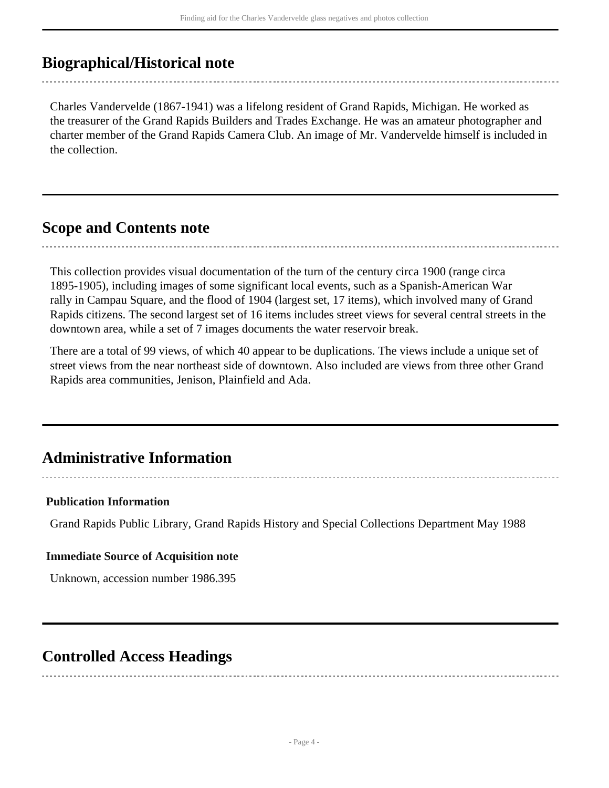### <span id="page-3-0"></span>**Biographical/Historical note**

Charles Vandervelde (1867-1941) was a lifelong resident of Grand Rapids, Michigan. He worked as the treasurer of the Grand Rapids Builders and Trades Exchange. He was an amateur photographer and charter member of the Grand Rapids Camera Club. An image of Mr. Vandervelde himself is included in the collection.

### <span id="page-3-1"></span>**Scope and Contents note**

This collection provides visual documentation of the turn of the century circa 1900 (range circa 1895-1905), including images of some significant local events, such as a Spanish-American War rally in Campau Square, and the flood of 1904 (largest set, 17 items), which involved many of Grand Rapids citizens. The second largest set of 16 items includes street views for several central streets in the downtown area, while a set of 7 images documents the water reservoir break.

There are a total of 99 views, of which 40 appear to be duplications. The views include a unique set of street views from the near northeast side of downtown. Also included are views from three other Grand Rapids area communities, Jenison, Plainfield and Ada.

## <span id="page-3-2"></span>**Administrative Information**

#### **Publication Information**

Grand Rapids Public Library, Grand Rapids History and Special Collections Department May 1988

#### **Immediate Source of Acquisition note**

Unknown, accession number 1986.395

## <span id="page-3-3"></span>**Controlled Access Headings**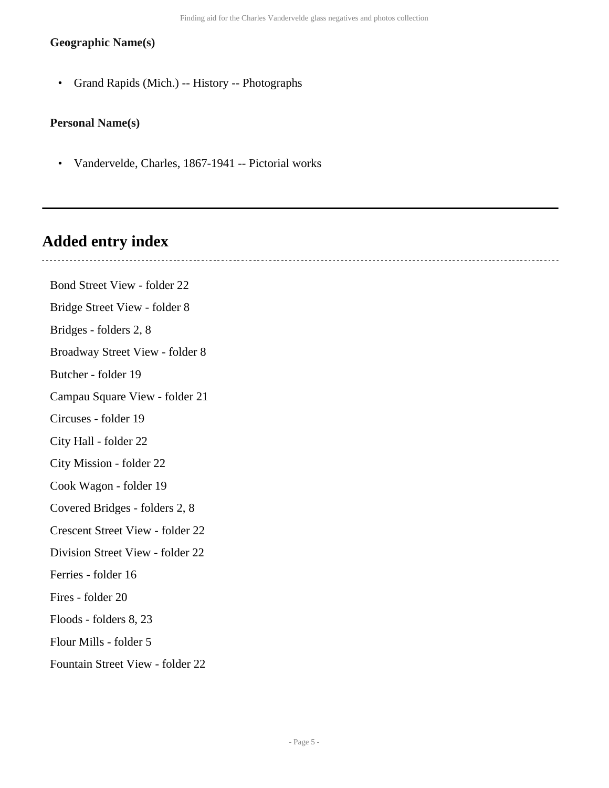#### **Geographic Name(s)**

• Grand Rapids (Mich.) -- History -- Photographs

#### **Personal Name(s)**

• Vandervelde, Charles, 1867-1941 -- Pictorial works

## <span id="page-4-0"></span>**Added entry index**

Bond Street View - folder 22 Bridge Street View - folder 8 Bridges - folders 2, 8 Broadway Street View - folder 8 Butcher - folder 19 Campau Square View - folder 21 Circuses - folder 19 City Hall - folder 22 City Mission - folder 22 Cook Wagon - folder 19 Covered Bridges - folders 2, 8 Crescent Street View - folder 22 Division Street View - folder 22 Ferries - folder 16 Fires - folder 20 Floods - folders 8, 23 Flour Mills - folder 5 Fountain Street View - folder 22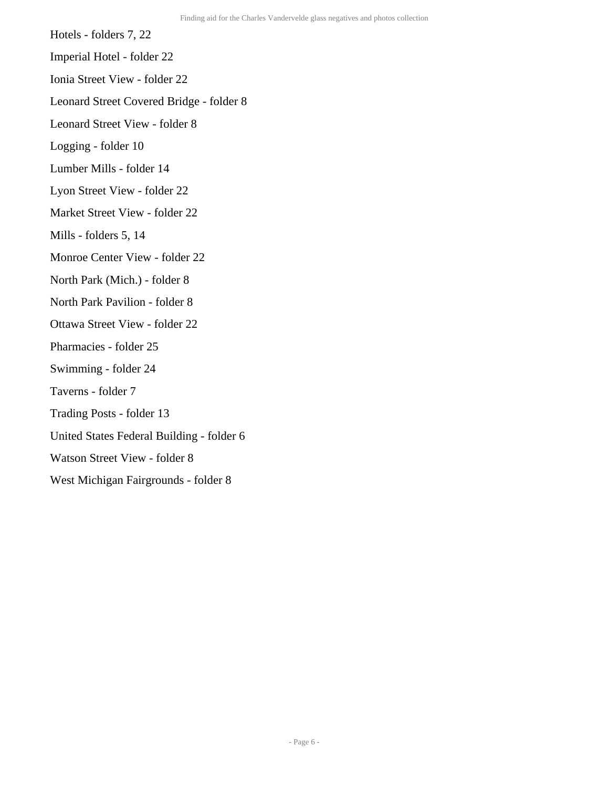Hotels - folders 7, 22

Imperial Hotel - folder 22

Ionia Street View - folder 22

Leonard Street Covered Bridge - folder 8

Leonard Street View - folder 8

Logging - folder 10

Lumber Mills - folder 14

Lyon Street View - folder 22

Market Street View - folder 22

Mills - folders 5, 14

Monroe Center View - folder 22

North Park (Mich.) - folder 8

North Park Pavilion - folder 8

- Ottawa Street View folder 22
- Pharmacies folder 25
- Swimming folder 24
- Taverns folder 7
- Trading Posts folder 13
- United States Federal Building folder 6
- Watson Street View folder 8
- West Michigan Fairgrounds folder 8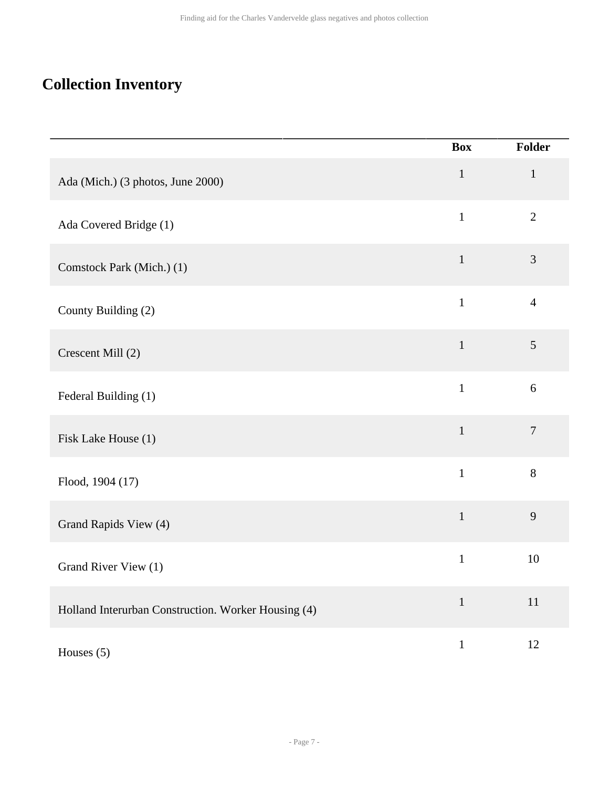# <span id="page-6-0"></span>**Collection Inventory**

|                                                     | <b>Box</b>   | Folder           |
|-----------------------------------------------------|--------------|------------------|
| Ada (Mich.) (3 photos, June 2000)                   | $\mathbf 1$  | $\mathbf 1$      |
| Ada Covered Bridge (1)                              | $\mathbf{1}$ | $\overline{2}$   |
| Comstock Park (Mich.) (1)                           | $\mathbf{1}$ | 3                |
| County Building (2)                                 | $\mathbf{1}$ | $\overline{4}$   |
| Crescent Mill (2)                                   | $\mathbf{1}$ | $\mathfrak{S}$   |
| Federal Building (1)                                | $\mathbf{1}$ | $\sqrt{6}$       |
| Fisk Lake House (1)                                 | $\mathbf{1}$ | $\boldsymbol{7}$ |
| Flood, 1904 (17)                                    | $\mathbf{1}$ | 8                |
| Grand Rapids View (4)                               | $\mathbf{1}$ | 9                |
| Grand River View (1)                                | $\mathbf{1}$ | 10               |
| Holland Interurban Construction. Worker Housing (4) | $\mathbf{1}$ | $11\,$           |
| Houses (5)                                          | $\mathbf{1}$ | 12               |